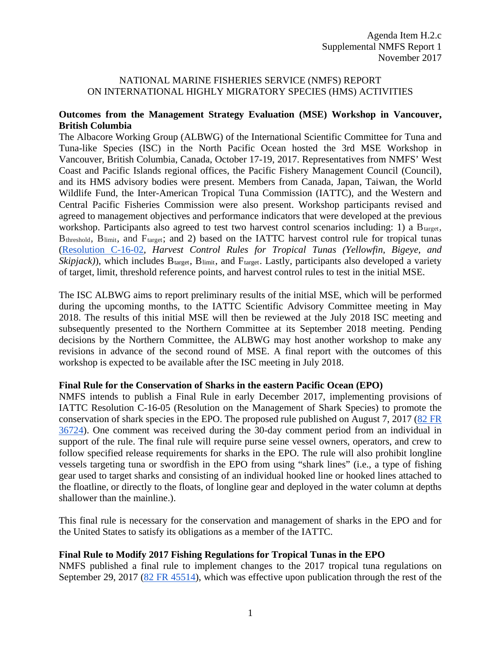# NATIONAL MARINE FISHERIES SERVICE (NMFS) REPORT ON INTERNATIONAL HIGHLY MIGRATORY SPECIES (HMS) ACTIVITIES

## **Outcomes from the Management Strategy Evaluation (MSE) Workshop in Vancouver, British Columbia**

The Albacore Working Group (ALBWG) of the International Scientific Committee for Tuna and Tuna-like Species (ISC) in the North Pacific Ocean hosted the 3rd MSE Workshop in Vancouver, British Columbia, Canada, October 17-19, 2017. Representatives from NMFS' West Coast and Pacific Islands regional offices, the Pacific Fishery Management Council (Council), and its HMS advisory bodies were present. Members from Canada, Japan, Taiwan, the World Wildlife Fund, the Inter-American Tropical Tuna Commission (IATTC), and the Western and Central Pacific Fisheries Commission were also present. Workshop participants revised and agreed to management objectives and performance indicators that were developed at the previous workshop. Participants also agreed to test two harvest control scenarios including: 1) a  $B_{\text{target}}$ , B<sub>threshold</sub>, B<sub>limit</sub>, and F<sub>target</sub>; and 2) based on the IATTC harvest control rule for tropical tunas [\(Resolution C-16-02,](http://www.iattc.org/PDFFiles2/Resolutions/C-16-02-Harvest-control-rules.pdf) *Harvest Control Rules for Tropical Tunas (Yellowfin, Bigeye, and*   $Skipjack)$ ), which includes  $B_{\text{target}}$ ,  $B_{\text{limit}}$ , and  $F_{\text{target}}$ . Lastly, participants also developed a variety of target, limit, threshold reference points, and harvest control rules to test in the initial MSE.

The ISC ALBWG aims to report preliminary results of the initial MSE, which will be performed during the upcoming months, to the IATTC Scientific Advisory Committee meeting in May 2018. The results of this initial MSE will then be reviewed at the July 2018 ISC meeting and subsequently presented to the Northern Committee at its September 2018 meeting. Pending decisions by the Northern Committee, the ALBWG may host another workshop to make any revisions in advance of the second round of MSE. A final report with the outcomes of this workshop is expected to be available after the ISC meeting in July 2018.

#### **Final Rule for the Conservation of Sharks in the eastern Pacific Ocean (EPO)**

NMFS intends to publish a Final Rule in early December 2017, implementing provisions of IATTC Resolution C-16-05 (Resolution on the Management of Shark Species) to promote the conservation of shark species in the EPO. The proposed rule published on August 7, 2017 [\(82 FR](https://www.federalregister.gov/documents/2017/08/07/2017-16448/international-fisheries-pacific-tuna-fisheries-restrictions-on-fishing-for-sharks-in-the-eastern)  [36724\)](https://www.federalregister.gov/documents/2017/08/07/2017-16448/international-fisheries-pacific-tuna-fisheries-restrictions-on-fishing-for-sharks-in-the-eastern). One comment was received during the 30-day comment period from an individual in support of the rule. The final rule will require purse seine vessel owners, operators, and crew to follow specified release requirements for sharks in the EPO. The rule will also prohibit longline vessels targeting tuna or swordfish in the EPO from using "shark lines" (i.e., a type of fishing gear used to target sharks and consisting of an individual hooked line or hooked lines attached to the floatline, or directly to the floats, of longline gear and deployed in the water column at depths shallower than the mainline.).

This final rule is necessary for the conservation and management of sharks in the EPO and for the United States to satisfy its obligations as a member of the IATTC.

# **Final Rule to Modify 2017 Fishing Regulations for Tropical Tunas in the EPO**

NMFS published a final rule to implement changes to the 2017 tropical tuna regulations on September 29, 2017 [\(82 FR 45514\)](https://www.federalregister.gov/documents/2017/09/29/2017-20950/international-fisheries-pacific-tuna-fisheries-revised-2017-fishing-restrictions-for-tropical-tuna), which was effective upon publication through the rest of the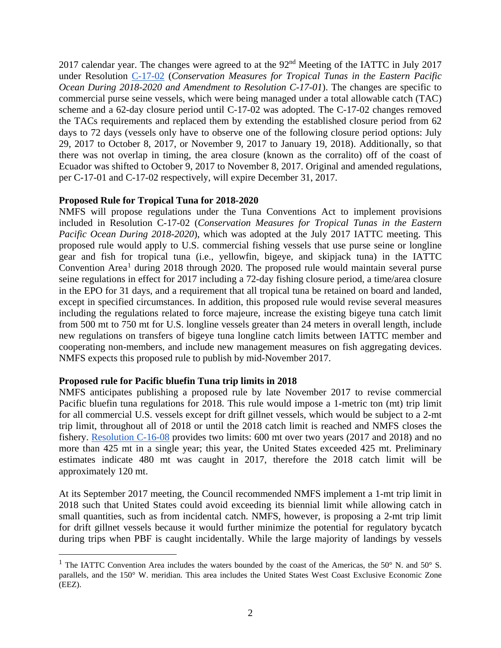2017 calendar year. The changes were agreed to at the 92<sup>nd</sup> Meeting of the IATTC in July 2017 under Resolution [C-17-02](https://www.iattc.org/PDFFiles2/Resolutions/C-17-02-Tuna-conservation-in-the-EPO-2018-2020-and-amendment-to-Res.-C-17-01.pdf) (*Conservation Measures for Tropical Tunas in the Eastern Pacific Ocean During 2018-2020 and Amendment to Resolution C-17-01*). The changes are specific to commercial purse seine vessels, which were being managed under a total allowable catch (TAC) scheme and a 62-day closure period until C-17-02 was adopted. The C-17-02 changes removed the TACs requirements and replaced them by extending the established closure period from 62 days to 72 days (vessels only have to observe one of the following closure period options: July 29, 2017 to October 8, 2017, or November 9, 2017 to January 19, 2018). Additionally, so that there was not overlap in timing, the area closure (known as the corralito) off of the coast of Ecuador was shifted to October 9, 2017 to November 8, 2017. Original and amended regulations, per C-17-01 and C-17-02 respectively, will expire December 31, 2017.

#### **Proposed Rule for Tropical Tuna for 2018-2020**

NMFS will propose regulations under the Tuna Conventions Act to implement provisions included in Resolution C-17-02 (*Conservation Measures for Tropical Tunas in the Eastern Pacific Ocean During 2018-2020*), which was adopted at the July 2017 IATTC meeting. This proposed rule would apply to U.S. commercial fishing vessels that use purse seine or longline gear and fish for tropical tuna (i.e., yellowfin, bigeye, and skipjack tuna) in the IATTC Convention Area<sup>[1](#page-1-0)</sup> during 2018 through 2020. The proposed rule would maintain several purse seine regulations in effect for 2017 including a 72-day fishing closure period, a time/area closure in the EPO for 31 days, and a requirement that all tropical tuna be retained on board and landed, except in specified circumstances. In addition, this proposed rule would revise several measures including the regulations related to force majeure, increase the existing bigeye tuna catch limit from 500 mt to 750 mt for U.S. longline vessels greater than 24 meters in overall length, include new regulations on transfers of bigeye tuna longline catch limits between IATTC member and cooperating non-members, and include new management measures on fish aggregating devices. NMFS expects this proposed rule to publish by mid-November 2017.

# **Proposed rule for Pacific bluefin Tuna trip limits in 2018**

NMFS anticipates publishing a proposed rule by late November 2017 to revise commercial Pacific bluefin tuna regulations for 2018. This rule would impose a 1-metric ton (mt) trip limit for all commercial U.S. vessels except for drift gillnet vessels, which would be subject to a 2-mt trip limit, throughout all of 2018 or until the 2018 catch limit is reached and NMFS closes the fishery. [Resolution C-16-08](https://www.iattc.org/PDFFiles2/Resolutions/C-16-08-Conservation-and-management-of-Pacific-bluefin-tuna.pdf) provides two limits: 600 mt over two years (2017 and 2018) and no more than 425 mt in a single year; this year, the United States exceeded 425 mt. Preliminary estimates indicate 480 mt was caught in 2017, therefore the 2018 catch limit will be approximately 120 mt.

At its September 2017 meeting, the Council recommended NMFS implement a 1-mt trip limit in 2018 such that United States could avoid exceeding its biennial limit while allowing catch in small quantities, such as from incidental catch. NMFS, however, is proposing a 2-mt trip limit for drift gillnet vessels because it would further minimize the potential for regulatory bycatch during trips when PBF is caught incidentally. While the large majority of landings by vessels

<span id="page-1-0"></span><sup>&</sup>lt;sup>1</sup> The IATTC Convention Area includes the waters bounded by the coast of the Americas, the 50 $\degree$  N. and 50 $\degree$  S. parallels, and the 150° W. meridian. This area includes the United States West Coast Exclusive Economic Zone (EEZ).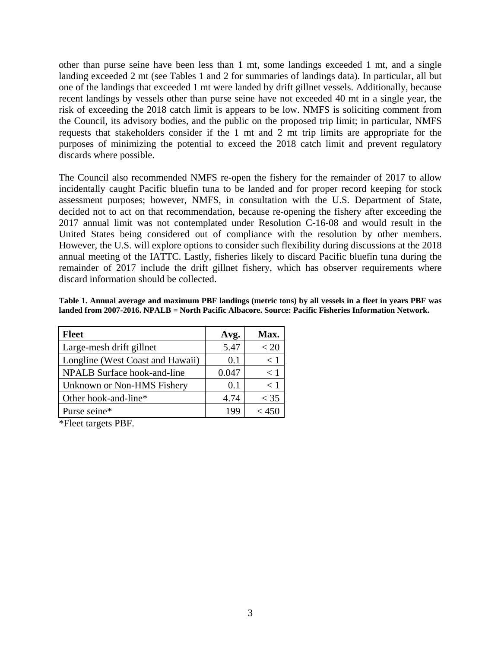other than purse seine have been less than 1 mt, some landings exceeded 1 mt, and a single landing exceeded 2 mt (see Tables 1 and 2 for summaries of landings data). In particular, all but one of the landings that exceeded 1 mt were landed by drift gillnet vessels. Additionally, because recent landings by vessels other than purse seine have not exceeded 40 mt in a single year, the risk of exceeding the 2018 catch limit is appears to be low. NMFS is soliciting comment from the Council, its advisory bodies, and the public on the proposed trip limit; in particular, NMFS requests that stakeholders consider if the 1 mt and 2 mt trip limits are appropriate for the purposes of minimizing the potential to exceed the 2018 catch limit and prevent regulatory discards where possible.

The Council also recommended NMFS re-open the fishery for the remainder of 2017 to allow incidentally caught Pacific bluefin tuna to be landed and for proper record keeping for stock assessment purposes; however, NMFS, in consultation with the U.S. Department of State, decided not to act on that recommendation, because re-opening the fishery after exceeding the 2017 annual limit was not contemplated under Resolution C-16-08 and would result in the United States being considered out of compliance with the resolution by other members. However, the U.S. will explore options to consider such flexibility during discussions at the 2018 annual meeting of the IATTC. Lastly, fisheries likely to discard Pacific bluefin tuna during the remainder of 2017 include the drift gillnet fishery, which has observer requirements where discard information should be collected.

**Table 1. Annual average and maximum PBF landings (metric tons) by all vessels in a fleet in years PBF was landed from 2007-2016. NPALB = North Pacific Albacore. Source: Pacific Fisheries Information Network.** 

| <b>Fleet</b>                     | Avg.  | Max.   |
|----------------------------------|-------|--------|
| Large-mesh drift gillnet         | 5.47  | < 20   |
| Longline (West Coast and Hawaii) | 0.1   | < 1    |
| NPALB Surface hook-and-line      | 0.047 | < 1    |
| Unknown or Non-HMS Fishery       | 0.1   | < 1    |
| Other hook-and-line*             | 4.74  | $<$ 35 |
| Purse seine*                     | 199   |        |

\*Fleet targets PBF.